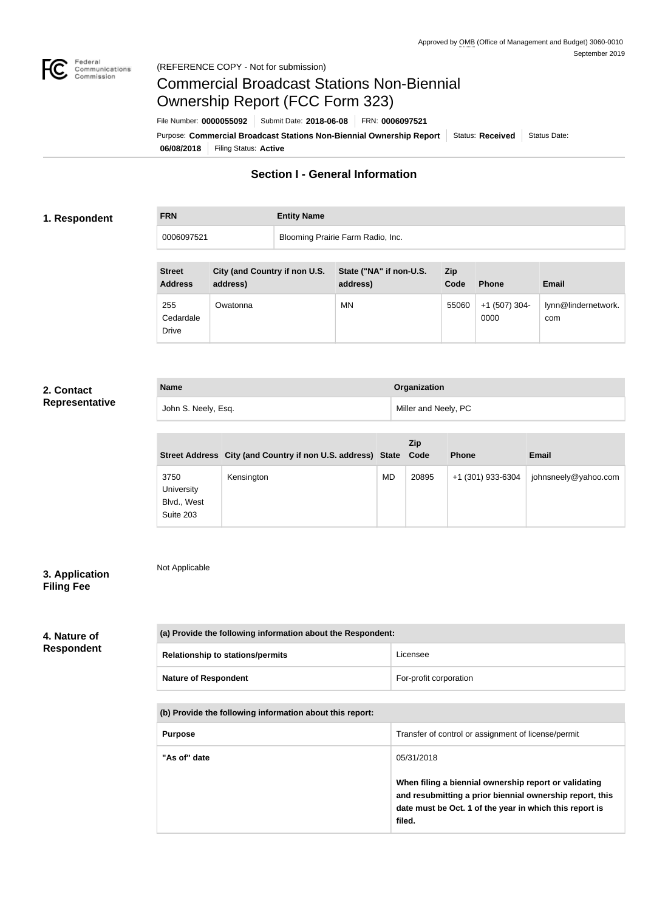0000

com



Cedardale Drive

Not Applicable

# Commercial Broadcast Stations Non-Biennial Ownership Report (FCC Form 323)

**06/08/2018** Filing Status: **Active** Purpose: Commercial Broadcast Stations Non-Biennial Ownership Report Status: Received Status Date: File Number: **0000055092** Submit Date: **2018-06-08** FRN: **0006097521**

## **Section I - General Information**

## **1. Respondent**

**FRN Entity Name**

| 0006097521                      |                                           | Blooming Prairie Farm Radio, Inc.   |                    |               |                     |  |
|---------------------------------|-------------------------------------------|-------------------------------------|--------------------|---------------|---------------------|--|
| <b>Street</b><br><b>Address</b> | City (and Country if non U.S.<br>address) | State ("NA" if non-U.S.<br>address) | <b>Zip</b><br>Code | <b>Phone</b>  | <b>Email</b>        |  |
| 255                             | Owatonna                                  | MN                                  | 55060              | +1 (507) 304- | lynn@lindernetwork. |  |

## **2. Contact Representative**

| <b>Name</b>         | Organization         |  |  |
|---------------------|----------------------|--|--|
| John S. Neely, Esq. | Miller and Neely, PC |  |  |

|                                                | Street Address City (and Country if non U.S. address) State Code |           | <b>Zip</b> | <b>Phone</b>      | <b>Email</b>         |
|------------------------------------------------|------------------------------------------------------------------|-----------|------------|-------------------|----------------------|
| 3750<br>University<br>Blvd., West<br>Suite 203 | Kensington                                                       | <b>MD</b> | 20895      | +1 (301) 933-6304 | johnsneely@yahoo.com |

## **3. Application Filing Fee**

## **4. Nature of Respondent**

| (a) Provide the following information about the Respondent: |                        |  |
|-------------------------------------------------------------|------------------------|--|
| <b>Relationship to stations/permits</b>                     | Licensee               |  |
| <b>Nature of Respondent</b>                                 | For-profit corporation |  |

| (b) Provide the following information about this report: |  |
|----------------------------------------------------------|--|
|----------------------------------------------------------|--|

| <b>Purpose</b> | Transfer of control or assignment of license/permit                                                                                                                                    |
|----------------|----------------------------------------------------------------------------------------------------------------------------------------------------------------------------------------|
| "As of" date   | 05/31/2018                                                                                                                                                                             |
|                | When filing a biennial ownership report or validating<br>and resubmitting a prior biennial ownership report, this<br>date must be Oct. 1 of the year in which this report is<br>filed. |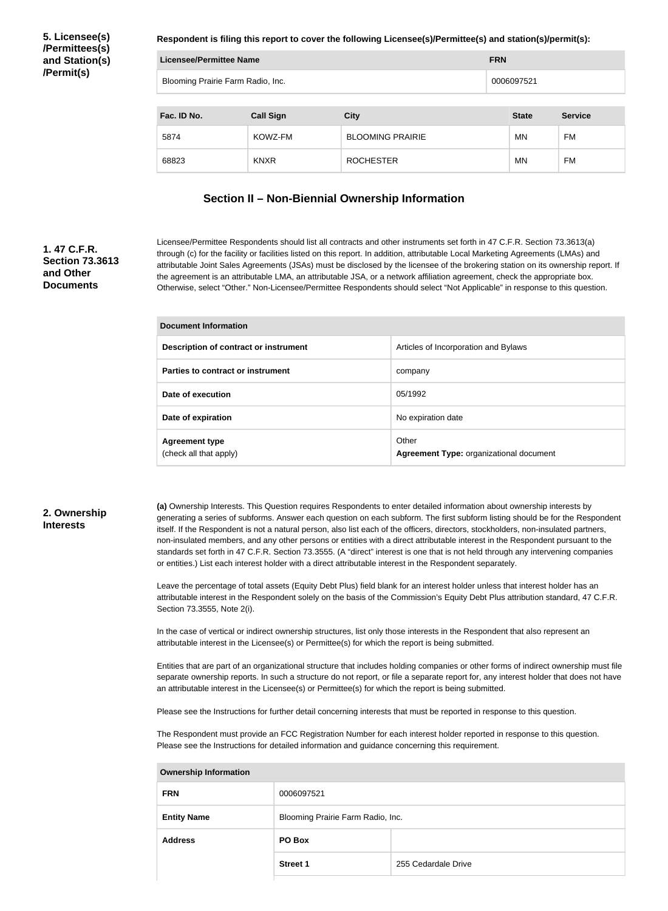**5. Licensee(s) /Permittees(s) and Station(s) /Permit(s)**

**Respondent is filing this report to cover the following Licensee(s)/Permittee(s) and station(s)/permit(s):**

| Licensee/Permittee Name           |                  |                         |            | <b>FRN</b>   |                |  |
|-----------------------------------|------------------|-------------------------|------------|--------------|----------------|--|
| Blooming Prairie Farm Radio, Inc. |                  |                         | 0006097521 |              |                |  |
|                                   |                  |                         |            |              |                |  |
| Fac. ID No.                       | <b>Call Sign</b> | <b>City</b>             |            | <b>State</b> | <b>Service</b> |  |
| 5874                              | KOWZ-FM          | <b>BLOOMING PRAIRIE</b> |            | MN           | <b>FM</b>      |  |
| 68823                             | <b>KNXR</b>      | <b>ROCHESTER</b>        |            | MN           | <b>FM</b>      |  |

## **Section II – Non-Biennial Ownership Information**

## **1. 47 C.F.R. Section 73.3613 and Other Documents**

Licensee/Permittee Respondents should list all contracts and other instruments set forth in 47 C.F.R. Section 73.3613(a) through (c) for the facility or facilities listed on this report. In addition, attributable Local Marketing Agreements (LMAs) and attributable Joint Sales Agreements (JSAs) must be disclosed by the licensee of the brokering station on its ownership report. If the agreement is an attributable LMA, an attributable JSA, or a network affiliation agreement, check the appropriate box. Otherwise, select "Other." Non-Licensee/Permittee Respondents should select "Not Applicable" in response to this question.

| <b>Document Information</b>                     |                                                         |  |
|-------------------------------------------------|---------------------------------------------------------|--|
| Description of contract or instrument           | Articles of Incorporation and Bylaws                    |  |
| Parties to contract or instrument               | company                                                 |  |
| Date of execution                               | 05/1992                                                 |  |
| Date of expiration                              | No expiration date                                      |  |
| <b>Agreement type</b><br>(check all that apply) | Other<br><b>Agreement Type: organizational document</b> |  |

#### **2. Ownership Interests**

**(a)** Ownership Interests. This Question requires Respondents to enter detailed information about ownership interests by generating a series of subforms. Answer each question on each subform. The first subform listing should be for the Respondent itself. If the Respondent is not a natural person, also list each of the officers, directors, stockholders, non-insulated partners, non-insulated members, and any other persons or entities with a direct attributable interest in the Respondent pursuant to the standards set forth in 47 C.F.R. Section 73.3555. (A "direct" interest is one that is not held through any intervening companies or entities.) List each interest holder with a direct attributable interest in the Respondent separately.

Leave the percentage of total assets (Equity Debt Plus) field blank for an interest holder unless that interest holder has an attributable interest in the Respondent solely on the basis of the Commission's Equity Debt Plus attribution standard, 47 C.F.R. Section 73.3555, Note 2(i).

In the case of vertical or indirect ownership structures, list only those interests in the Respondent that also represent an attributable interest in the Licensee(s) or Permittee(s) for which the report is being submitted.

Entities that are part of an organizational structure that includes holding companies or other forms of indirect ownership must file separate ownership reports. In such a structure do not report, or file a separate report for, any interest holder that does not have an attributable interest in the Licensee(s) or Permittee(s) for which the report is being submitted.

Please see the Instructions for further detail concerning interests that must be reported in response to this question.

The Respondent must provide an FCC Registration Number for each interest holder reported in response to this question. Please see the Instructions for detailed information and guidance concerning this requirement.

| <b>Ownership Information</b> |                                   |                     |  |  |
|------------------------------|-----------------------------------|---------------------|--|--|
| <b>FRN</b>                   | 0006097521                        |                     |  |  |
| <b>Entity Name</b>           | Blooming Prairie Farm Radio, Inc. |                     |  |  |
| <b>Address</b>               | PO Box                            |                     |  |  |
|                              | <b>Street 1</b>                   | 255 Cedardale Drive |  |  |
|                              |                                   |                     |  |  |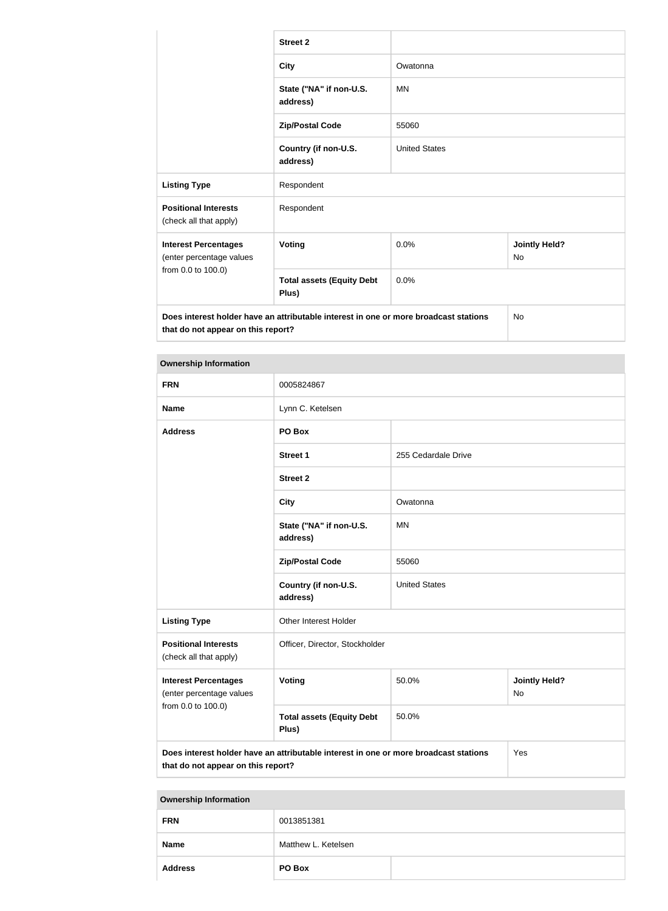|                                                                                                                            | <b>Street 2</b>                           |                      |                            |  |  |
|----------------------------------------------------------------------------------------------------------------------------|-------------------------------------------|----------------------|----------------------------|--|--|
|                                                                                                                            | <b>City</b>                               | Owatonna             |                            |  |  |
|                                                                                                                            | State ("NA" if non-U.S.<br>address)       | MN                   |                            |  |  |
|                                                                                                                            | <b>Zip/Postal Code</b>                    | 55060                |                            |  |  |
|                                                                                                                            | Country (if non-U.S.<br>address)          | <b>United States</b> |                            |  |  |
| Respondent<br><b>Listing Type</b>                                                                                          |                                           |                      |                            |  |  |
| <b>Positional Interests</b><br>(check all that apply)                                                                      | Respondent                                |                      |                            |  |  |
| <b>Interest Percentages</b><br>(enter percentage values                                                                    | Voting                                    | 0.0%                 | <b>Jointly Held?</b><br>No |  |  |
| from 0.0 to 100.0)                                                                                                         | <b>Total assets (Equity Debt</b><br>Plus) | 0.0%                 |                            |  |  |
| Does interest holder have an attributable interest in one or more broadcast stations<br>that do not appear on this report? | No                                        |                      |                            |  |  |

| <b>Ownership Information</b>                                                                                                      |                                           |                                            |  |  |
|-----------------------------------------------------------------------------------------------------------------------------------|-------------------------------------------|--------------------------------------------|--|--|
| <b>FRN</b>                                                                                                                        | 0005824867                                |                                            |  |  |
| <b>Name</b>                                                                                                                       | Lynn C. Ketelsen                          |                                            |  |  |
| <b>Address</b>                                                                                                                    | PO Box                                    |                                            |  |  |
|                                                                                                                                   | <b>Street 1</b>                           | 255 Cedardale Drive                        |  |  |
|                                                                                                                                   | <b>Street 2</b>                           |                                            |  |  |
|                                                                                                                                   | <b>City</b>                               | Owatonna                                   |  |  |
|                                                                                                                                   | State ("NA" if non-U.S.<br>address)       | <b>MN</b>                                  |  |  |
|                                                                                                                                   | <b>Zip/Postal Code</b>                    | 55060                                      |  |  |
|                                                                                                                                   | Country (if non-U.S.<br>address)          | <b>United States</b>                       |  |  |
| <b>Listing Type</b>                                                                                                               | Other Interest Holder                     |                                            |  |  |
| <b>Positional Interests</b><br>(check all that apply)                                                                             | Officer, Director, Stockholder            |                                            |  |  |
| <b>Interest Percentages</b><br>(enter percentage values                                                                           | <b>Voting</b>                             | 50.0%<br><b>Jointly Held?</b><br><b>No</b> |  |  |
| from 0.0 to 100.0)                                                                                                                | <b>Total assets (Equity Debt</b><br>Plus) | 50.0%                                      |  |  |
| Does interest holder have an attributable interest in one or more broadcast stations<br>Yes<br>that do not appear on this report? |                                           |                                            |  |  |

| <b>Ownership Information</b> |                     |  |  |  |
|------------------------------|---------------------|--|--|--|
| <b>FRN</b>                   | 0013851381          |  |  |  |
| <b>Name</b>                  | Matthew L. Ketelsen |  |  |  |
| <b>Address</b>               | PO Box              |  |  |  |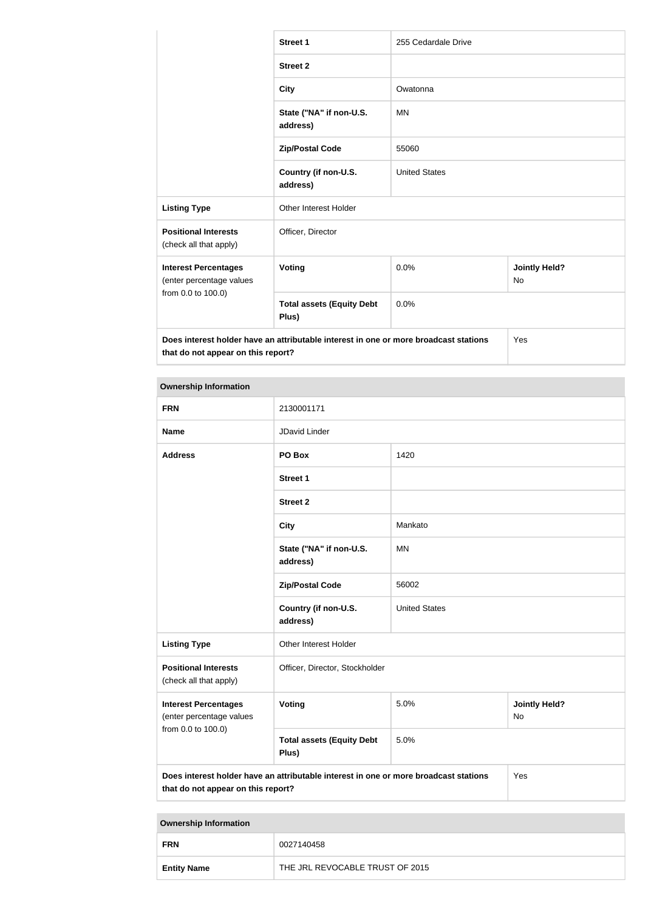|                                                                                      | <b>Street 1</b>                           | 255 Cedardale Drive  |                                   |
|--------------------------------------------------------------------------------------|-------------------------------------------|----------------------|-----------------------------------|
|                                                                                      | <b>Street 2</b>                           |                      |                                   |
|                                                                                      | <b>City</b>                               | Owatonna             |                                   |
|                                                                                      | State ("NA" if non-U.S.<br>address)       | MN                   |                                   |
|                                                                                      | <b>Zip/Postal Code</b>                    | 55060                |                                   |
|                                                                                      | Country (if non-U.S.<br>address)          | <b>United States</b> |                                   |
| <b>Listing Type</b>                                                                  | Other Interest Holder                     |                      |                                   |
| <b>Positional Interests</b><br>(check all that apply)                                | Officer, Director                         |                      |                                   |
| <b>Interest Percentages</b><br>(enter percentage values<br>from 0.0 to 100.0)        | <b>Voting</b>                             | 0.0%                 | <b>Jointly Held?</b><br><b>No</b> |
|                                                                                      | <b>Total assets (Equity Debt</b><br>Plus) | 0.0%                 |                                   |
| Does interest holder have an attributable interest in one or more broadcast stations |                                           |                      | Yes                               |

**that do not appear on this report?**

| <b>Ownership Information</b>                                                                                               |                                           |                      |                            |
|----------------------------------------------------------------------------------------------------------------------------|-------------------------------------------|----------------------|----------------------------|
| <b>FRN</b>                                                                                                                 | 2130001171                                |                      |                            |
| <b>Name</b>                                                                                                                | JDavid Linder                             |                      |                            |
| <b>Address</b>                                                                                                             | PO Box                                    | 1420                 |                            |
|                                                                                                                            | <b>Street 1</b>                           |                      |                            |
|                                                                                                                            | <b>Street 2</b>                           |                      |                            |
|                                                                                                                            | <b>City</b>                               | Mankato              |                            |
|                                                                                                                            | State ("NA" if non-U.S.<br>address)       | <b>MN</b>            |                            |
|                                                                                                                            | <b>Zip/Postal Code</b>                    | 56002                |                            |
|                                                                                                                            | Country (if non-U.S.<br>address)          | <b>United States</b> |                            |
| <b>Listing Type</b>                                                                                                        | Other Interest Holder                     |                      |                            |
| <b>Positional Interests</b><br>(check all that apply)                                                                      | Officer, Director, Stockholder            |                      |                            |
| <b>Interest Percentages</b><br>(enter percentage values<br>from 0.0 to 100.0)                                              | Voting                                    | 5.0%                 | <b>Jointly Held?</b><br>No |
|                                                                                                                            | <b>Total assets (Equity Debt</b><br>Plus) | 5.0%                 |                            |
| Does interest holder have an attributable interest in one or more broadcast stations<br>that do not appear on this report? |                                           | Yes                  |                            |

| <b>Ownership Information</b> |                                 |  |
|------------------------------|---------------------------------|--|
| <b>FRN</b>                   | 0027140458                      |  |
| <b>Entity Name</b>           | THE JRL REVOCABLE TRUST OF 2015 |  |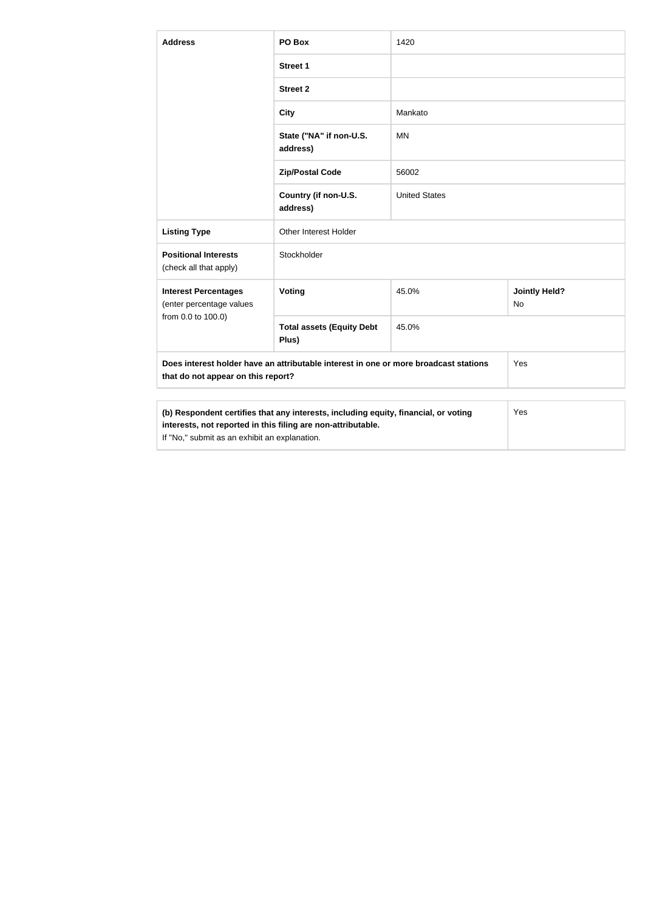| <b>Address</b>                                                                                                                                                                                       | PO Box                                    | 1420                 |                                   |  |
|------------------------------------------------------------------------------------------------------------------------------------------------------------------------------------------------------|-------------------------------------------|----------------------|-----------------------------------|--|
|                                                                                                                                                                                                      | <b>Street 1</b>                           |                      |                                   |  |
|                                                                                                                                                                                                      | <b>Street 2</b>                           |                      |                                   |  |
|                                                                                                                                                                                                      | <b>City</b>                               | Mankato              |                                   |  |
|                                                                                                                                                                                                      | State ("NA" if non-U.S.<br>address)       | <b>MN</b>            |                                   |  |
|                                                                                                                                                                                                      | <b>Zip/Postal Code</b>                    | 56002                |                                   |  |
|                                                                                                                                                                                                      | Country (if non-U.S.<br>address)          | <b>United States</b> |                                   |  |
| <b>Listing Type</b>                                                                                                                                                                                  | Other Interest Holder                     |                      |                                   |  |
| <b>Positional Interests</b><br>(check all that apply)                                                                                                                                                | Stockholder                               |                      |                                   |  |
| <b>Interest Percentages</b><br>(enter percentage values<br>from 0.0 to 100.0)                                                                                                                        | Voting                                    | 45.0%                | <b>Jointly Held?</b><br><b>No</b> |  |
|                                                                                                                                                                                                      | <b>Total assets (Equity Debt</b><br>Plus) | 45.0%                |                                   |  |
| Does interest holder have an attributable interest in one or more broadcast stations<br>that do not appear on this report?                                                                           |                                           |                      | Yes                               |  |
|                                                                                                                                                                                                      |                                           |                      |                                   |  |
| (b) Respondent certifies that any interests, including equity, financial, or voting<br>interests, not reported in this filing are non-attributable.<br>If "No," submit as an exhibit an explanation. |                                           | Yes                  |                                   |  |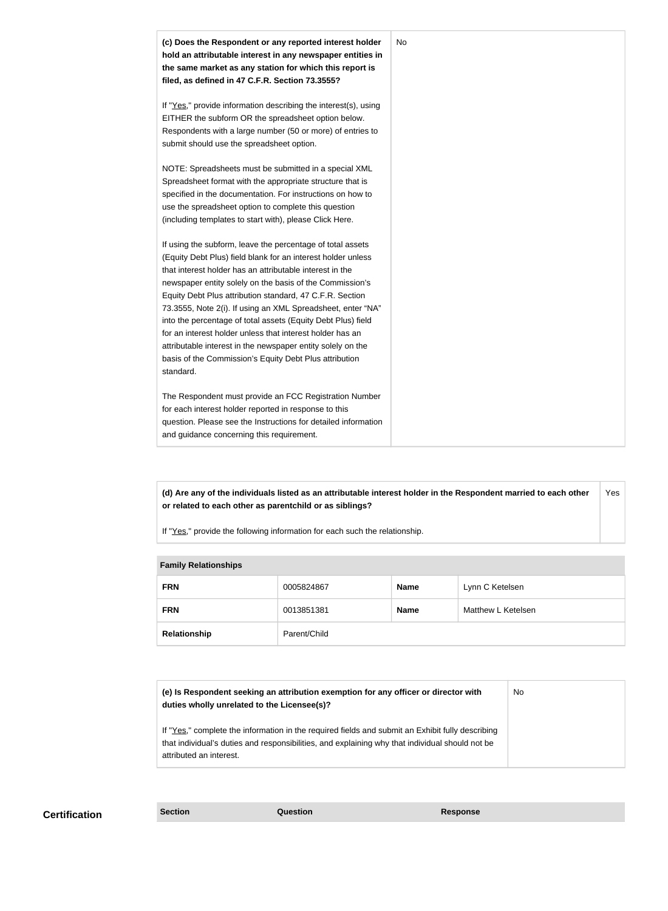

**(d) Are any of the individuals listed as an attributable interest holder in the Respondent married to each other or related to each other as parentchild or as siblings?** Yes

If "Yes," provide the following information for each such the relationship.

| <b>Fallilly INGIQUUISHIPS</b> |              |             |                    |
|-------------------------------|--------------|-------------|--------------------|
| <b>FRN</b>                    | 0005824867   | <b>Name</b> | Lynn C Ketelsen    |
| <b>FRN</b>                    | 0013851381   | <b>Name</b> | Matthew L Ketelsen |
| Relationship                  | Parent/Child |             |                    |

| (e) Is Respondent seeking an attribution exemption for any officer or director with<br>duties wholly unrelated to the Licensee(s)?                                                                                             | No. |
|--------------------------------------------------------------------------------------------------------------------------------------------------------------------------------------------------------------------------------|-----|
| If "Yes," complete the information in the required fields and submit an Exhibit fully describing<br>that individual's duties and responsibilities, and explaining why that individual should not be<br>attributed an interest. |     |

**Family Relationships**